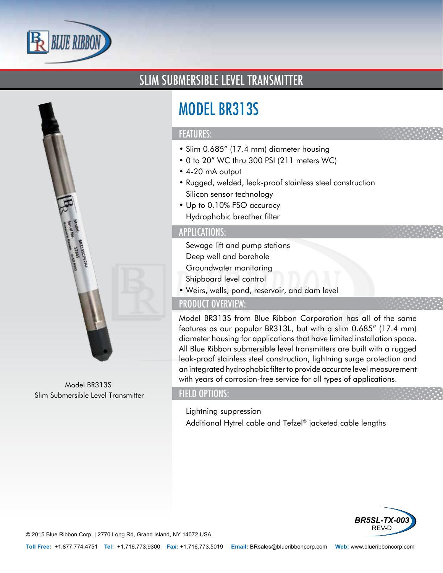



# MODEL BR313S

#### FEATURES:

- Slim 0.685" (17.4 mm) diameter housing
- 0 to 20" WC thru 300 PSI (211 meters WC)
- 4-20 mA output
- Rugged, welded, leak-proof stainless steel construction
- Silicon sensor technology
- Up to 0.10% FSO accuracy
- Hydrophobic breather filter

### APPLICATIONS:

- Sewage lift and pump stations
- Deep well and borehole
- Groundwater monitoring
- Shipboard level control
- Weirs, wells, pond, reservoir, and dam level

# PRODUCT OVERVIEW:

Model BR313S from Blue Ribbon Corporation has all of the same features as our popular BR313L, but with a slim 0.685" (17.4 mm) diameter housing for applications that have limited installation space. All Blue Ribbon submersible level transmitters are built with a rugged leak-proof stainless steel construction, lightning surge protection and an integrated hydrophobic filter to provide accurate level measurement with years of corrosion-free service for all types of applications.

#### FIELD OPTIONS:

- Lightning suppression
- Additional Hytrel cable and Tefzel® jacketed cable lengths



© 2015 Blue Ribbon Corp. *<sup>|</sup>* 2770 Long Rd, Grand Island, NY 14072 USA

Model BR313S Slim Submersible Level Transmitter